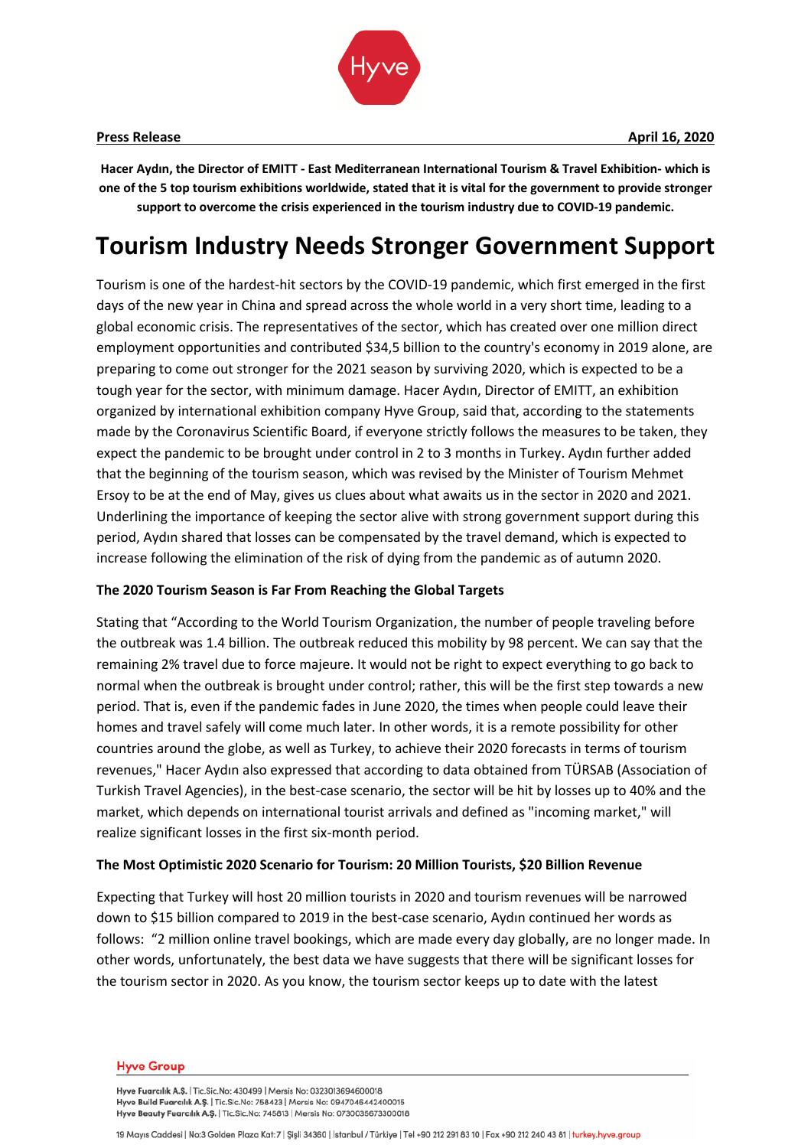

**Hacer Aydın, the Director of EMITT - East Mediterranean International Tourism & Travel Exhibition- which is one of the 5 top tourism exhibitions worldwide, stated that it is vital for the government to provide stronger support to overcome the crisis experienced in the tourism industry due to COVID-19 pandemic.**

# **Tourism Industry Needs Stronger Government Support**

Tourism is one of the hardest-hit sectors by the COVID-19 pandemic, which first emerged in the first days of the new year in China and spread across the whole world in a very short time, leading to a global economic crisis. The representatives of the sector, which has created over one million direct employment opportunities and contributed \$34,5 billion to the country's economy in 2019 alone, are preparing to come out stronger for the 2021 season by surviving 2020, which is expected to be a tough year for the sector, with minimum damage. Hacer Aydın, Director of EMITT, an exhibition organized by international exhibition company Hyve Group, said that, according to the statements made by the Coronavirus Scientific Board, if everyone strictly follows the measures to be taken, they expect the pandemic to be brought under control in 2 to 3 months in Turkey. Aydın further added that the beginning of the tourism season, which was revised by the Minister of Tourism Mehmet Ersoy to be at the end of May, gives us clues about what awaits us in the sector in 2020 and 2021. Underlining the importance of keeping the sector alive with strong government support during this period, Aydın shared that losses can be compensated by the travel demand, which is expected to increase following the elimination of the risk of dying from the pandemic as of autumn 2020.

# **The 2020 Tourism Season is Far From Reaching the Global Targets**

Stating that "According to the World Tourism Organization, the number of people traveling before the outbreak was 1.4 billion. The outbreak reduced this mobility by 98 percent. We can say that the remaining 2% travel due to force majeure. It would not be right to expect everything to go back to normal when the outbreak is brought under control; rather, this will be the first step towards a new period. That is, even if the pandemic fades in June 2020, the times when people could leave their homes and travel safely will come much later. In other words, it is a remote possibility for other countries around the globe, as well as Turkey, to achieve their 2020 forecasts in terms of tourism revenues," Hacer Aydın also expressed that according to data obtained from TÜRSAB (Association of Turkish Travel Agencies), in the best-case scenario, the sector will be hit by losses up to 40% and the market, which depends on international tourist arrivals and defined as "incoming market," will realize significant losses in the first six-month period.

### **The Most Optimistic 2020 Scenario for Tourism: 20 Million Tourists, \$20 Billion Revenue**

Expecting that Turkey will host 20 million tourists in 2020 and tourism revenues will be narrowed down to \$15 billion compared to 2019 in the best-case scenario, Aydın continued her words as follows: "2 million online travel bookings, which are made every day globally, are no longer made. In other words, unfortunately, the best data we have suggests that there will be significant losses for the tourism sector in 2020. As you know, the tourism sector keeps up to date with the latest

#### **Hyve Group**

Hyve Fuarcılık A.Ş. | Tic.Sic.No: 430499 | Mersis No: 0323013694600018 Hyve Build Fuarcilik A.Ş. | Tic.Sic.No: 758423 | Mersis No: 0947046442400015 Hyve Beauty Fuarcilik A.Ş. | Tic.Sic.No: 745813 | Mersis No: 0730035673300018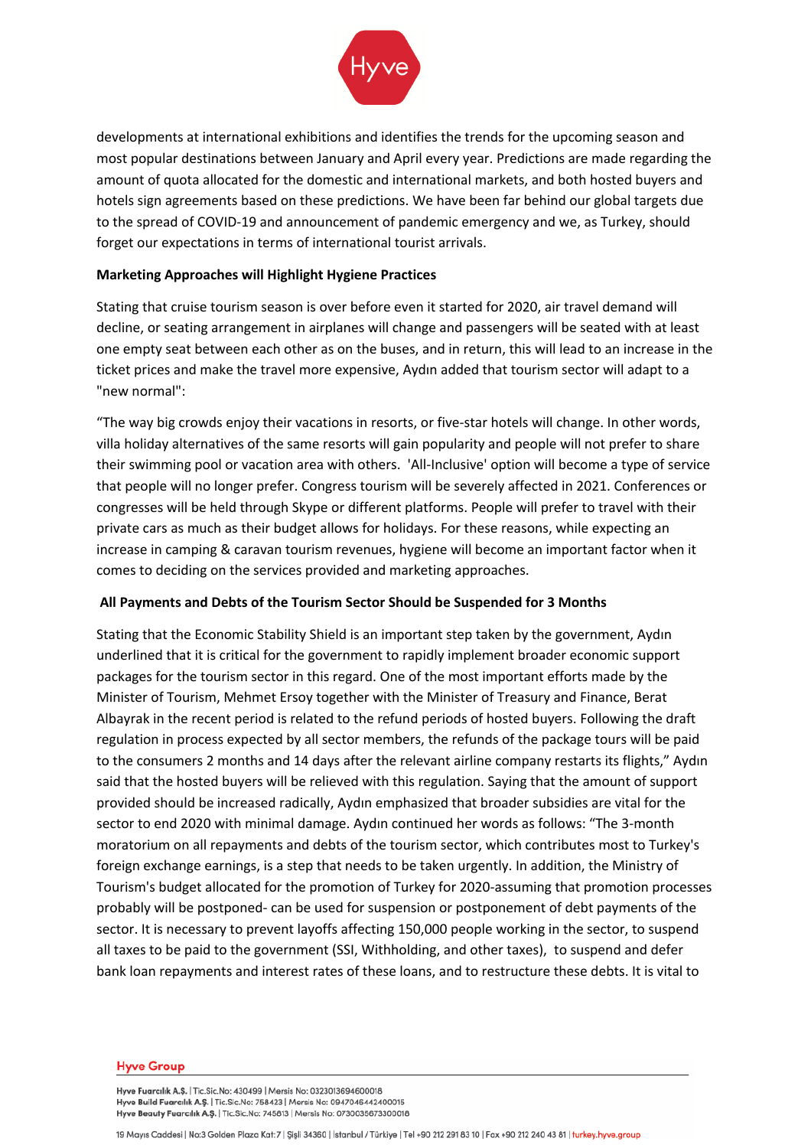

developments at international exhibitions and identifies the trends for the upcoming season and most popular destinations between January and April every year. Predictions are made regarding the amount of quota allocated for the domestic and international markets, and both hosted buyers and hotels sign agreements based on these predictions. We have been far behind our global targets due to the spread of COVID-19 and announcement of pandemic emergency and we, as Turkey, should forget our expectations in terms of international tourist arrivals.

# **Marketing Approaches will Highlight Hygiene Practices**

Stating that cruise tourism season is over before even it started for 2020, air travel demand will decline, or seating arrangement in airplanes will change and passengers will be seated with at least one empty seat between each other as on the buses, and in return, this will lead to an increase in the ticket prices and make the travel more expensive, Aydın added that tourism sector will adapt to a "new normal":

"The way big crowds enjoy their vacations in resorts, or five-star hotels will change. In other words, villa holiday alternatives of the same resorts will gain popularity and people will not prefer to share their swimming pool or vacation area with others. 'All-Inclusive' option will become a type of service that people will no longer prefer. Congress tourism will be severely affected in 2021. Conferences or congresses will be held through Skype or different platforms. People will prefer to travel with their private cars as much as their budget allows for holidays. For these reasons, while expecting an increase in camping & caravan tourism revenues, hygiene will become an important factor when it comes to deciding on the services provided and marketing approaches.

# **All Payments and Debts of the Tourism Sector Should be Suspended for 3 Months**

Stating that the Economic Stability Shield is an important step taken by the government, Aydın underlined that it is critical for the government to rapidly implement broader economic support packages for the tourism sector in this regard. One of the most important efforts made by the Minister of Tourism, Mehmet Ersoy together with the Minister of Treasury and Finance, Berat Albayrak in the recent period is related to the refund periods of hosted buyers. Following the draft regulation in process expected by all sector members, the refunds of the package tours will be paid to the consumers 2 months and 14 days after the relevant airline company restarts its flights," Aydın said that the hosted buyers will be relieved with this regulation. Saying that the amount of support provided should be increased radically, Aydın emphasized that broader subsidies are vital for the sector to end 2020 with minimal damage. Aydın continued her words as follows: "The 3-month moratorium on all repayments and debts of the tourism sector, which contributes most to Turkey's foreign exchange earnings, is a step that needs to be taken urgently. In addition, the Ministry of Tourism's budget allocated for the promotion of Turkey for 2020-assuming that promotion processes probably will be postponed- can be used for suspension or postponement of debt payments of the sector. It is necessary to prevent layoffs affecting 150,000 people working in the sector, to suspend all taxes to be paid to the government (SSI, Withholding, and other taxes), to suspend and defer bank loan repayments and interest rates of these loans, and to restructure these debts. It is vital to

#### **Hyve Group**

Hyve Fuarcılık A.Ş. | Tic.Sic.No: 430499 | Mersis No: 0323013694600018 Hyve Build Fuarcilik A.Ş. | Tic.Sic.No: 758423 | Mersis No: 0947046442400015 Hyve Beauty Fuarcilik A.Ş. | Tic.Sic.No: 745813 | Mersis No: 0730035673300018